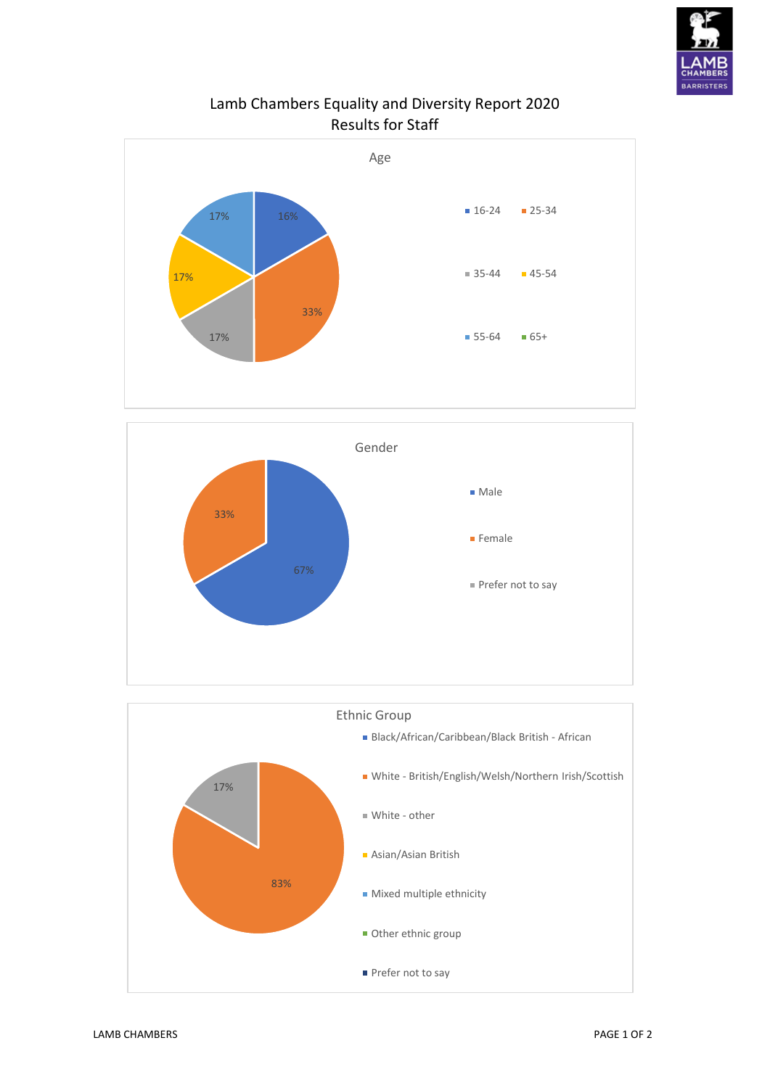

## Lamb Chambers Equality and Diversity Report 2020 Results for Staff





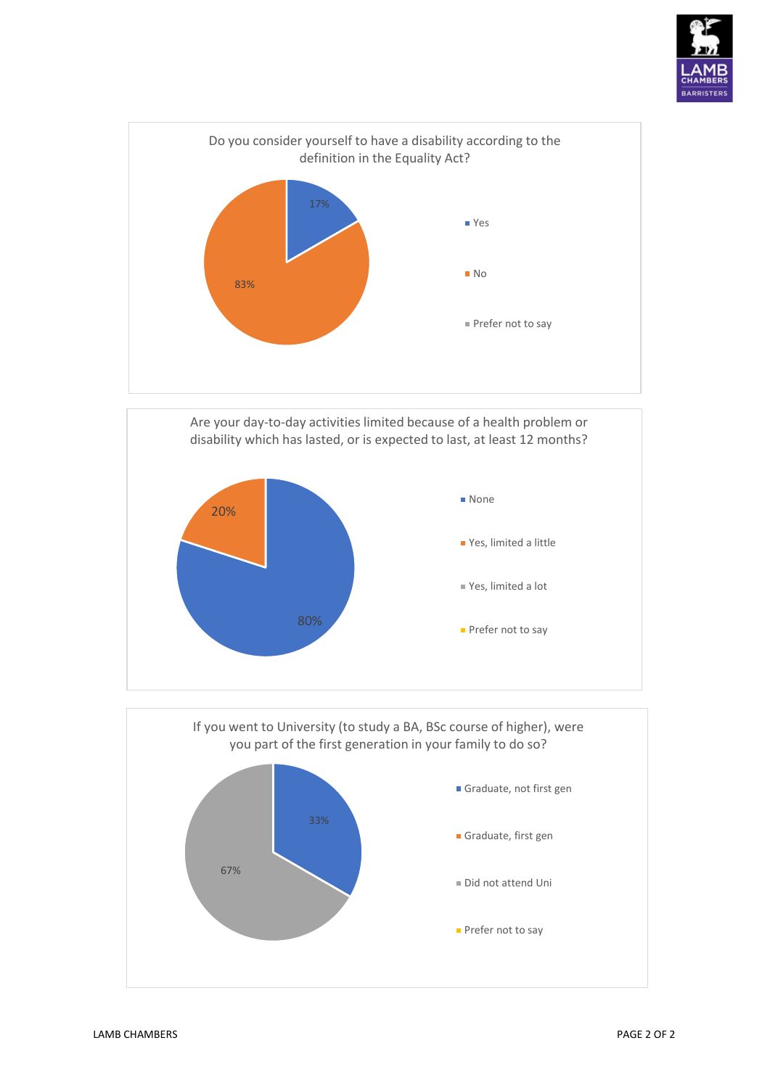